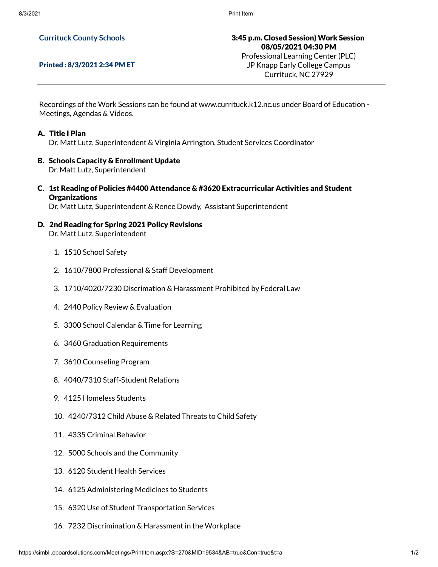## **Currituck County Schools**

## Printed : 8/3/2021 2:34 PM ET

3:45 p.m. Closed Session) Work Session 08/05/2021 04:30 PM Professional Learning Center (PLC)

JP Knapp Early College Campus Currituck, NC 27929

Recordings of the Work Sessions can be found at www.currituck.k12.nc.us under Board of Education - Meetings, Agendas & Videos.

## A. Title I Plan

Dr. Matt Lutz, Superintendent & Virginia Arrington, Student Services Coordinator

- B. Schools Capacity & Enrollment Update Dr. Matt Lutz, Superintendent
- C. 1st Reading of Policies #4400 Attendance & #3620 Extracurricular Activities and Student **Organizations**

Dr. Matt Lutz, Superintendent & Renee Dowdy, Assistant Superintendent

- D. 2nd Reading for Spring 2021 Policy Revisions Dr. Matt Lutz, Superintendent
	- 1. 1510 School Safety
	- 2. 1610/7800 Professional & Staff Development
	- 3. 1710/4020/7230 Discrimation & Harassment Prohibited by Federal Law
	- 4. 2440 Policy Review & Evaluation
	- 5. 3300 School Calendar & Time for Learning
	- 6. 3460 Graduation Requirements
	- 7. 3610 Counseling Program
	- 8. 4040/7310 Staff-Student Relations
	- 9. 4125 Homeless Students
	- 10. 4240/7312 Child Abuse & Related Threats to Child Safety
	- 11. 4335 Criminal Behavior
	- 12. 5000 Schools and the Community
	- 13. 6120 Student Health Services
	- 14. 6125 Administering Medicines to Students
	- 15. 6320 Use of Student Transportation Services
	- 16. 7232 Discrimination & Harassment in the Workplace